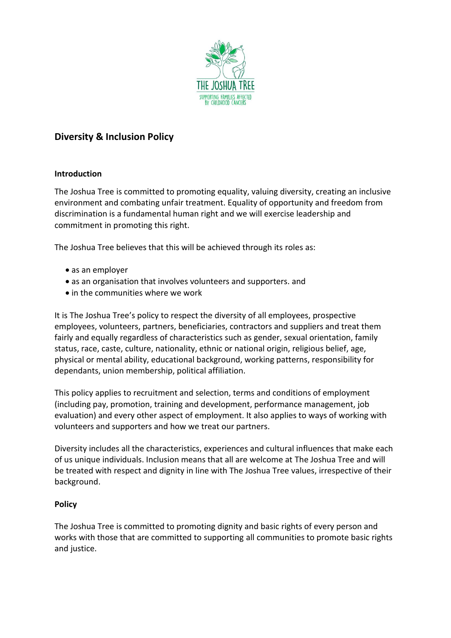

## **Diversity & Inclusion Policy**

## **Introduction**

The Joshua Tree is committed to promoting equality, valuing diversity, creating an inclusive environment and combating unfair treatment. Equality of opportunity and freedom from discrimination is a fundamental human right and we will exercise leadership and commitment in promoting this right.

The Joshua Tree believes that this will be achieved through its roles as:

- as an employer
- as an organisation that involves volunteers and supporters. and
- in the communities where we work

It is The Joshua Tree's policy to respect the diversity of all employees, prospective employees, volunteers, partners, beneficiaries, contractors and suppliers and treat them fairly and equally regardless of characteristics such as gender, sexual orientation, family status, race, caste, culture, nationality, ethnic or national origin, religious belief, age, physical or mental ability, educational background, working patterns, responsibility for dependants, union membership, political affiliation.

This policy applies to recruitment and selection, terms and conditions of employment (including pay, promotion, training and development, performance management, job evaluation) and every other aspect of employment. It also applies to ways of working with volunteers and supporters and how we treat our partners.

Diversity includes all the characteristics, experiences and cultural influences that make each of us unique individuals. Inclusion means that all are welcome at The Joshua Tree and will be treated with respect and dignity in line with The Joshua Tree values, irrespective of their background.

## **Policy**

The Joshua Tree is committed to promoting dignity and basic rights of every person and works with those that are committed to supporting all communities to promote basic rights and justice.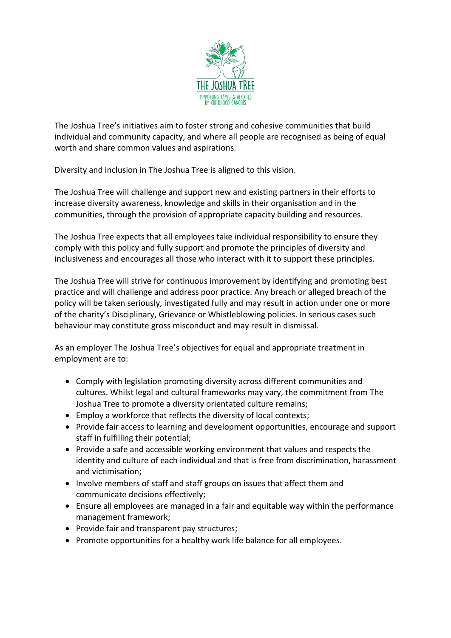

The Joshua Tree's initiatives aim to foster strong and cohesive communities that build individual and community capacity, and where all people are recognised as being of equal worth and share common values and aspirations.

Diversity and inclusion in The Joshua Tree is aligned to this vision.

The Joshua Tree will challenge and support new and existing partners in their efforts to increase diversity awareness, knowledge and skills in their organisation and in the communities, through the provision of appropriate capacity building and resources.

The Joshua Tree expects that all employees take individual responsibility to ensure they comply with this policy and fully support and promote the principles of diversity and inclusiveness and encourages all those who interact with it to support these principles.

The Joshua Tree will strive for continuous improvement by identifying and promoting best practice and will challenge and address poor practice. Any breach or alleged breach of the policy will be taken seriously, investigated fully and may result in action under one or more of the charity's Disciplinary, Grievance or Whistleblowing policies. In serious cases such behaviour may constitute gross misconduct and may result in dismissal.

As an employer The Joshua Tree's objectives for equal and appropriate treatment in employment are to:

- Comply with legislation promoting diversity across different communities and cultures. Whilst legal and cultural frameworks may vary, the commitment from The Joshua Tree to promote a diversity orientated culture remains;
- Employ a workforce that reflects the diversity of local contexts;
- Provide fair access to learning and development opportunities, encourage and support staff in fulfilling their potential;
- Provide a safe and accessible working environment that values and respects the identity and culture of each individual and that is free from discrimination, harassment and victimisation;
- Involve members of staff and staff groups on issues that affect them and communicate decisions effectively;
- Ensure all employees are managed in a fair and equitable way within the performance management framework;
- Provide fair and transparent pay structures;
- Promote opportunities for a healthy work life balance for all employees.